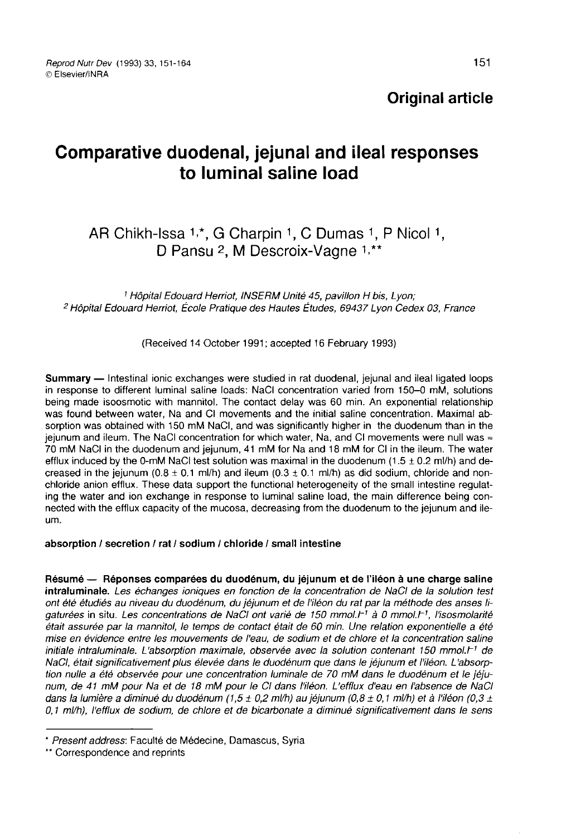# Original article

# Comparative duodenal, jejunal and ileal responses to luminal saline load

# AR Chikh-Issa 1,\*, G Charpin 1, C Dumas 1, P Nicol 1, D Pansu <sup>2</sup>, M Descroix-Vagne <sup>1,\*\*</sup>

<sup>1</sup> Hôpital Edouard Herriot, INSERM Unité 45, pavillon H bis, Lyon; <sup>2</sup> Hôpital Edouard Herriot, École Pratique des Hautes Études, 69437 Lyon Cedex 03, France

(Received 14 October 1991; accepted 16 February 1993)

Summary — Intestinal ionic exchanges were studied in rat duodenal, jejunal and ileal ligated loops in response to different luminal saline loads: NaCl concentration varied from 150-0 mM, solutions being made isoosmotic with mannitol. The contact delay was 60 min. An exponential relationship was found between water, Na and CI movements and the initial saline concentration. Maximal absorption was obtained with 150 mM NaCI, and was significantly higher in the duodenum than in the jejunum and ileum. The NaCl concentration for which water, Na, and CI movements were null was  $\approx$ 70 mM NaCI in the duodenum and jejunum, 41 mM for Na and 18 mM for CI in the ileum. The water efflux induced by the 0-mM NaCl test solution was maximal in the duodenum (1.5  $\pm$  0.2 ml/h) and decreased in the jejunum (0.8  $\pm$  0.1 ml/h) and ileum (0.3  $\pm$  0.1 ml/h) as did sodium, chloride and nonchloride anion efflux. These data support the functional heterogeneity of the small intestine regulating the water and ion exchange in response to luminal saline load, the main difference being connected with the efflux capacity of the mucosa, decreasing from the duodenum to the jejunum and ileum.

#### absorption / secretion / rat / sodium / chloride / small intestine

Résumé ― Réponses comparées du duodénum, du jéjunum et de l'iléon à une charge saline intraluminale. Les échanges ioniques en fonction de la concentration de NaCI de la solution test ont été étudiés au niveau du duodénum, du jéjunum et de l'iléon du rat par la méthode des anses ligaturées in situ. Les concentrations de NaCl ont varié de 150 mmol.<sup>r-1</sup> à 0 mmol.<sup>r-1</sup>, l'isosmolarité était assurée par la mannitol, le temps de contact était de 60 min. Une relation exponentielle a été mise en évidence entre les mouvements de l'eau, de sodium et de chlore et la concentration saline initiale intraluminale. L'absorption maximale, observée avec la solution contenant 150 mmol. $F<sup>1</sup>$  de NaCI, était significativement plus élevée dans le duodénum que dans le jéjunum et l'iléon. L'absorption nulle a été observée pour une concentration luminale de 70 mM dans le duodénum et le jéju-<br>num, de 41 mM pour Na et de 18 mM pour le CI dans l'iléon. L'efflux d'eau en l'absence de NaCI dans la lumière a diminué du duodénum (1,5 ± 0,2 ml/h) au jéjunum (0,8 ± 0,1 ml/h) et à l'iléon (0,3 ± 0,1 ml/h), l'efflux de sodium, de chlore et de bicarbonate a diminué significativement dans le sens mise en evidence entre les mouvements de l'eau, de sodinitiale intraluminale. L'absorption maximale, observée averant addinition nulle a été observée pour une concentration luminale num, de 41 mM pour Na et de 18 mM pour l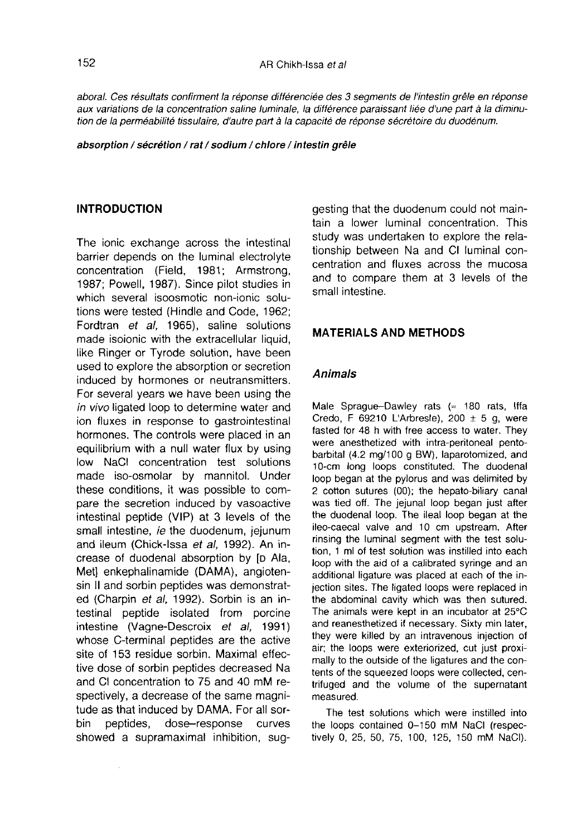aboral. Ces résultats confirment la réponse différenciée des 3 segments de l'intestin grêle en réponse aux variations de la concentration saline luminale, la différence paraissant liée d'une part à la diminution de la perméabilité tissulaire, d'autre part à la capacité de réponse sécrétoire du duodénum.

absorption / sécrétion / rat / sodium / chlore / intestin grêle

#### INTRODUCTION

The ionic exchange across the intestinal barrier depends on the luminal electrolyte concentration (Field, 1981; Armstrong, 1987; Powell, 1987). Since pilot studies in which several isoosmotic non-ionic solutions were tested (Hindle and Code, 1962; Fordtran et al, 1965), saline solutions made isoionic with the extracellular liquid, like Ringer or Tyrode solution, have been used to explore the absorption or secretion induced by hormones or neutransmitters. For several years we have been using the in vivo ligated loop to determine water and ion fluxes in response to gastrointestinal hormones. The controls were placed in an equilibrium with a null water flux by using low NaCI concentration test solutions made iso-osmolar by mannitol. Under these conditions, it was possible to compare the secretion induced by vasoactive intestinal peptide (VIP) at 3 levels of the small intestine, ie the duodenum, jejunum and ileum (Chick-Issa et al, 1992). An increase of duodenal absorption by [D Ala, Met] enkephalinamide (DAMA), angiotensin II and sorbin peptides was demonstrated (Charpin et al, 1992). Sorbin is an intestinal peptide isolated from porcine intestine (Vagne-Descroix et al, 1991) whose C-terminal peptides are the active site of 153 residue sorbin. Maximal effective dose of sorbin peptides decreased Na and CI concentration to 75 and 40 mM respectively, a decrease of the same magnitude as that induced by DAMA. For all sorbin peptides, dose-response curves dose-response curves showed a supramaximal inhibition, suggesting that the duodenum could not maintain a lower luminal concentration. This study was undertaken to explore the relationship between Na and CI luminal concentration and fluxes across the mucosa and to compare them at 3 levels of the small intestine.

## MATERIALS AND METHODS

### Animals

Male Sprague-Dawley rats  $($  = 180 rats, Iffa Credo, F 69210 L'Arbresle), 200  $\pm$  5 g, were fasted for 48 h with free access to water. They were anesthetized with intra-peritoneal pentobarbital (4.2 mg/100 g BW), laparotomized, and 10-cm long loops constituted. The duodenal loop began at the pylorus and was delimited by 2 cotton sutures (00); the hepato-biliary canal was tied off. The jejunal loop began just after the duodenal loop. The ileal loop began at the ileo-caecal valve and 10 cm upstream. After rinsing the luminal segment with the test solution, 1 ml of test solution was instilled into each loop with the aid of a calibrated syringe and an additional ligature was placed at each of the injection sites. The ligated loops were replaced in the abdominal cavity which was then sutured. The animals were kept in an incubator at 25°C and reanesthetized if necessary. Sixty min later, they were killed by an intravenous injection of air; the loops were exteriorized, cut just proximally to the outside of the ligatures and the contents of the squeezed loops were collected, centrifuged and the volume of the supernatant measured.

The test solutions which were instilled into the loops contained 0-150 mM NaCl (respectively 0, 25, 50, 75, 100, 125, 150 mM NaCI).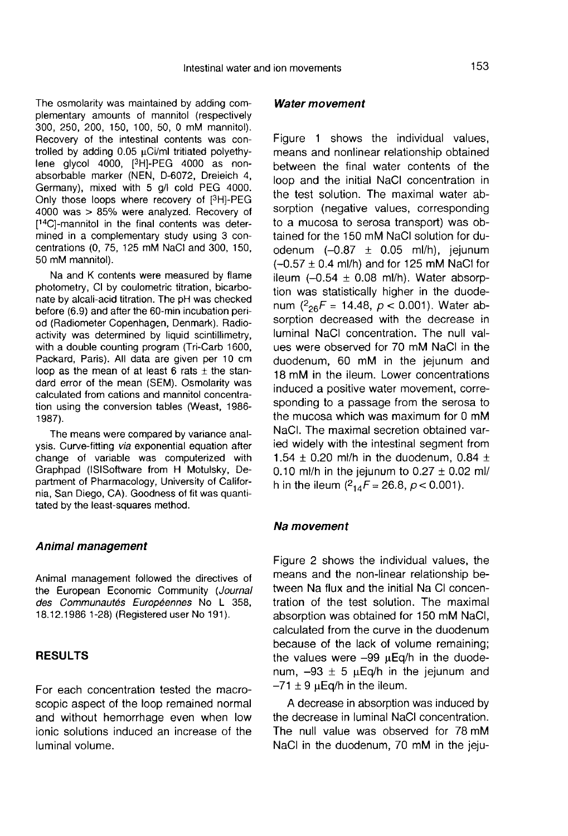The osmolarity was maintained by adding complementary amounts of mannitol (respectively 300, 250, 200, 150, 100, 50, 0 mM mannitol). Recovery of the intestinal contents was controlled by adding  $0.05 \mu$ Ci/ml tritiated polyethyhementary amounts of mannifor (respectively<br>300, 250, 200, 150, 100, 50, 0 mM mannifol).<br>Recovery of the intestinal contents was con-<br>trolled by adding 0.05 µCi/ml tritiated polyethy-<br>lene glycol 4000, [<sup>3</sup>H]-PEG 4000 as n absorbable marker (NEN, D-6072, Dreieich 4, Germany), mixed with 5 g/l cold PEG 4000.<br>Only those loops where recovery of [<sup>3</sup>H]-PEG From a by adding 0.05 pct/mi miated polyetry-<br>Jene glycol 4000, [<sup>3</sup>H]-PEG 4000 as non-<br>absorbable marker (NEN, D-6072, Dreieich 4,<br>Germany), mixed with 5 g/l cold PEG 4000.<br>Only those loops where recovery of [<sup>3</sup>H]-PEG<br>40 4000 was > 85% were analyzed. Recovery of [<sup>14</sup>C]-mannitol in the final contents was determined in a complementary study using 3 concentrations (0, 75, 125 mM NaCl and 300, 150, 50 mM mannitol).

Na and K contents were measured by flame photometry, CI by coulometric titration, bicarbonate by alcali-acid titration. The pH was checked before (6.9) and after the 60-min incubation period (Radiometer Copenhagen, Denmark). Radioactivity was determined by liquid scintillimetry, with a double counting program (Tri-Carb 1600, Packard, Paris). All data are given per 10 cm loop as the mean of at least 6 rats  $\pm$  the standard error of the mean (SEM). Osmolarity was calculated from cations and mannitol concentration using the conversion tables (Weast, 1986- 1987).

The means were compared by variance analysis. Curve-fitting via exponential equation after change of variable was computerized with Graphpad (ISISoftware from H Motulsky, Department of Pharmacology, University of California, San Diego, CA). Goodness of fit was quantitated by the least-squares method.

#### Animal management

Animal management followed the directives of the European Economic Community (Journal des Communautés Européennes No L 358, 18.12.1986 1-28) (Registered user No 191 ).

# **RESULTS**

For each concentration tested the macroscopic aspect of the loop remained normal and without hemorrhage even when low ionic solutions induced an increase of the luminal volume.

#### Water movement

Figure 1 shows the individual values, means and nonlinear relationship obtained between the final water contents of the loop and the initial NaCl concentration in the test solution. The maximal water absorption (negative values, corresponding to a mucosa to serosa transport) was obtained for the 150 mM NaCl solution for duodenum  $(-0.87 \pm 0.05 \text{ ml/h})$ , jejunum  $(-0.57 \pm 0.4 \text{ ml/h})$  and for 125 mM NaCl for ileum  $(-0.54 \pm 0.08 \text{ mJ/h})$ . Water absorption was statistically higher in the duodenum  $\binom{2_{26}F = 14.48, p < 0.001}$ . Water absorption decreased with the decrease in luminal NaCl concentration. The null values were observed for 70 mM NaCl in the duodenum, 60 mM in the jejunum and 18 mM in the ileum. Lower concentrations induced a positive water movement, corresponding to a passage from the serosa to the mucosa which was maximum for 0 mM NaCI. The maximal secretion obtained varied widely with the intestinal segment from 1.54  $\pm$  0.20 ml/h in the duodenum, 0.84  $\pm$ 0.10 ml/h in the jejunum to  $0.27 \pm 0.02$  ml/ h in the ileum  $\binom{2_{14}}{5}$  = 26.8,  $p < 0.001$ ).

#### Na movement

Figure 2 shows the individual values, the means and the non-linear relationship between Na flux and the initial Na CI concentration of the test solution. The maximal absorption was obtained for 150 mM NaCl, calculated from the curve in the duodenum because of the lack of volume remaining; the values were  $-99$   $\mu$ Eq/h in the duodenum,  $-93 \pm 5$   $\mu$ Eq/h in the jejunum and  $-71 \pm 9$  µEq/h in the ileum.

A decrease in absorption was induced by the decrease in luminal NaCl concentration. The null value was observed for 78 mM NaCl in the duodenum, 70 mM in the jeju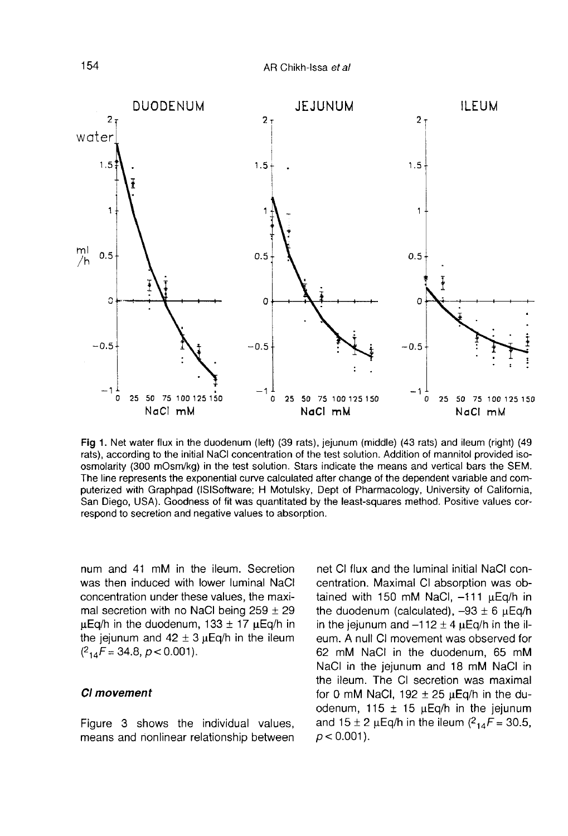AR Chikh-Issa et al



Fig 1. Net water flux in the duodenum (left) (39 rats), jejunum (middle) (43 rats) and ileum (right) (49 rats), according to the initial NaCl concentration of the test solution. Addition of mannitol provided isoosmolarity (300 mOsm/kg) in the test solution. Stars indicate the means and vertical bars the SEM. The line represents the exponential curve calculated after change of the dependent variable and computerized with Graphpad (ISISoftware; H Motulsky, Dept of Pharmacology, University of California, San Diego, USA). Goodness of fit was quantitated by the least-squares method. Positive values correspond to secretion and negative values to absorption.

num and 41 mM in the ileum. Secretion was then induced with lower luminal NaCl concentration under these values, the maximal secretion with no NaCl being  $259 \pm 29$  $\mu$ Eq/h in the duodenum, 133  $\pm$  17  $\mu$ Eq/h in the jejunum and  $42 \pm 3 \mu$ Eq/h in the ileum  $(^{2}14F = 34.8, p < 0.001$ ).

# CI movement

Figure 3 shows the individual values, means and nonlinear relationship between net CI flux and the luminal initial NaCI concentration. Maximal CI absorption was obtained with 150 mM NaCl,  $-111 \mu$ Eq/h in the duodenum (calculated),  $-93 \pm 6$   $\mu$ Eq/h in the jejunum and  $-112 \pm 4 \mu$ Eq/h in the ileum. A null CI movement was observed for 62 mM NaCl in the duodenum, 65 mM NaCl in the jejunum and 18 mM NaCl in the ileum. The CI secretion was maximal for 0 mM NaCl, 192  $\pm$  25  $\mu$ Eq/h in the duodenum, 115  $\pm$  15  $\mu$ Eq/h in the jejunum for 0 mM NaCl, 192 ± 25  $\mu$ Eq/h in the du-<br>odenum, 115 ± 15  $\mu$ Eq/h in the jejunum<br>and 15 ± 2  $\mu$ Eq/h in the ileum (<sup>2</sup><sub>14</sub>F = 30.5,<br> $p < 0.001$ ).  $p < 0.001$ ).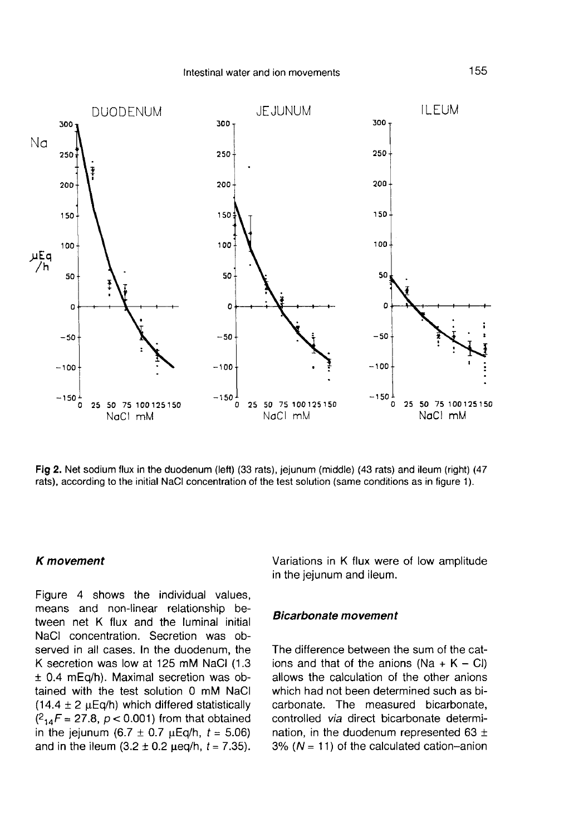

Fig 2. Net sodium flux in the duodenum (left) (33 rats), jejunum (middle) (43 rats) and ileum (right) (47 rats), according to the initial NaCl concentration of the test solution (same conditions as in figure 1).

#### K movement

Figure 4 shows the individual values, means and non-linear relationship between net K flux and the luminal initial NaCI concentration. Secretion was observed in all cases. In the duodenum, the K secretion was low at 125 mM NaCI (1.3 ± 0.4 mEq/h). Maximal secretion was obtained with the test solution 0 mM NaCl<br>
(14.4 ± 2  $\mu$ Eq/h) which differed statistically<br>
( $^{2}$ <sub>14</sub>F = 27.8, p < 0.001) from that obtained<br>
in the jeiunum (6.7 ± 0.7  $\mu$ Eq/h, t = 5.06) (14.4 ± 2  $\mu$ Eq/h) which differed statistically (<sup>2</sup><sub>14</sub>F = 27.8,  $p < 0.001$ ) from that obtained in the jejunum (6.7  $\pm$  0.7  $\mu$ Eq/h, t = 5.06) and in the ileum  $(3.2 \pm 0.2 \,\mu\text{eq/h}, t = 7.35)$ . Variations in K flux were of low amplitude in the jejunum and ileum.

#### Bicarbonate movement

The difference between the sum of the cations and that of the anions (Na + K - CI) allows the calculation of the other anions which had not been determined such as bicarbonate. The measured bicarbonate, controlled via direct bicarbonate determination, in the duodenum represented 63  $\pm$ 3% ( $N = 11$ ) of the calculated cation-anion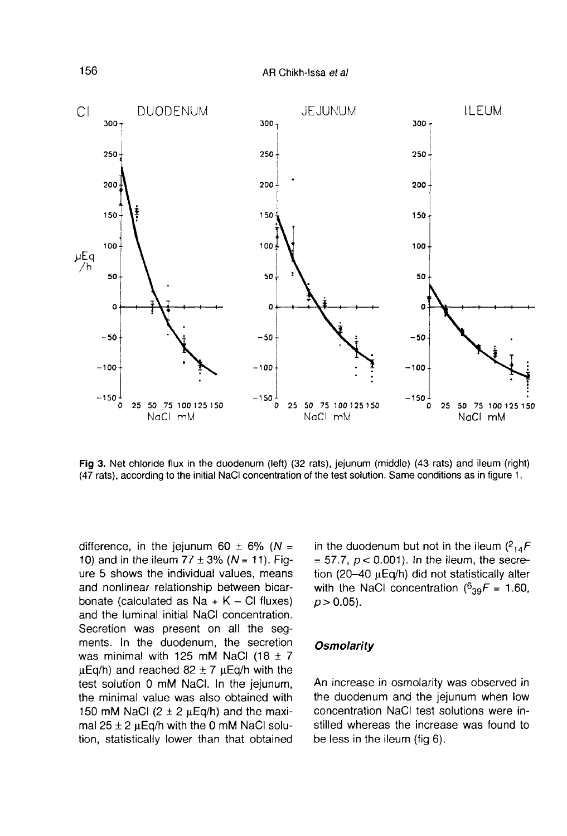AR Chikh-Issa et al



Fig 3. Net chloride flux in the duodenum (left) (32 rats), jejunum (middle) (43 rats) and ileum (right) (47 rats), according to the initial NaCl concentration of the test solution. Same conditions as in figure 1.

difference, in the jejunum 60  $\pm$  6% (N = 10) and in the ileum  $77 \pm 3\%$  (N = 11). Figure 5 shows the individual values, means and nonlinear relationship between bicarbonate (calculated as  $Na + K - Cl$  fluxes) and the luminal initial NaCl concentration. Secretion was present on all the segments. In the duodenum, the secretion was minimal with 125 mM NaCl (18  $\pm$  7  $\mu$ Eq/h) and reached 82  $\pm$  7  $\mu$ Eq/h with the test solution 0 mM NaCI. In the jejunum, the minimal value was also obtained with 150 mM NaCl  $(2 \pm 2 \mu \text{Eq/h})$  and the maximal  $25 \pm 2$  µEq/h with the 0 mM NaCl solution, statistically lower than that obtained in the duodenum but not in the ileum  $(^{2}_{14}F$ <br>= 57.7,  $p < 0.001$ ). In the ileum, the secretion (20-40  $\mu$ Eq/h) did not statistically alter with the NaCl concentration ( $6_{39}F = 1.60$ ,  $p > 0.05$ ).

## **Osmolarity**

An increase in osmolarity was observed in the duodenum and the jejunum when low concentration NaCl test solutions were instilled whereas the increase was found to be less in the ileum (fig 6).

156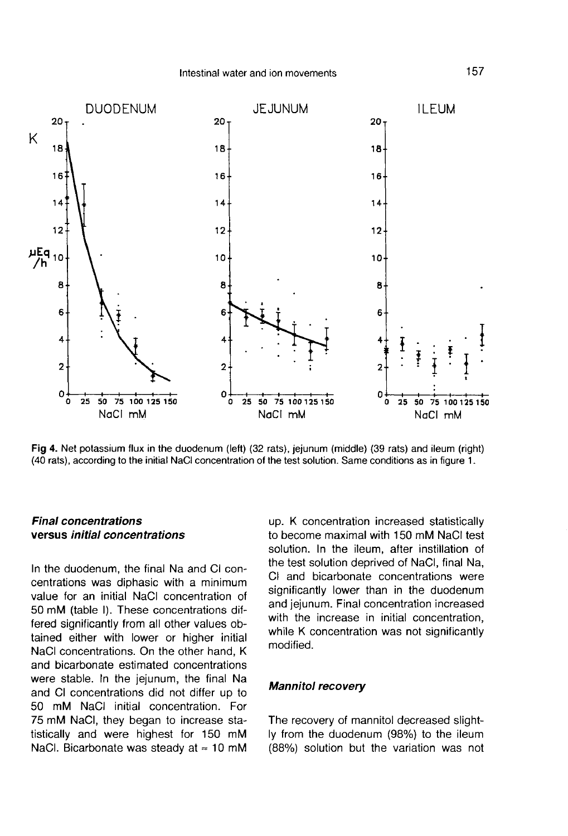

Fig 4. Net potassium flux in the duodenum (left) (32 rats), jejunum (middle) (39 rats) and ileum (right) (40 rats), according to the initial NaCl concentration of the test solution. Same conditions as in figure 1.

# Final concentrations versus initial concentrations

In the duodenum, the final Na and CI concentrations was diphasic with a minimum value for an initial NaCl concentration of 50 mM (table I). These concentrations differed significantly from all other values obtained either with lower or higher initial NaCl concentrations. On the other hand, K and bicarbonate estimated concentrations were stable. In the jejunum, the final Na and CI concentrations did not differ up to 50 mM NaCl initial concentration. For 75 mM NaCl, they began to increase statistically and were highest for 150 mM NaCl. Bicarbonate was steady at  $\approx$  10 mM

up. K concentration increased statistically to become maximal with 150 mM NaCl test solution. In the ileum, after instillation of the test solution deprived of NaCl, final Na, CI and bicarbonate concentrations were significantly lower than in the duodenum and jejunum. Final concentration increased with the increase in initial concentration, while K concentration was not significantly modified.

#### Mannitol recovery

The recovery of mannitol decreased slightly from the duodenum (98%) to the ileum (88%) solution but the variation was not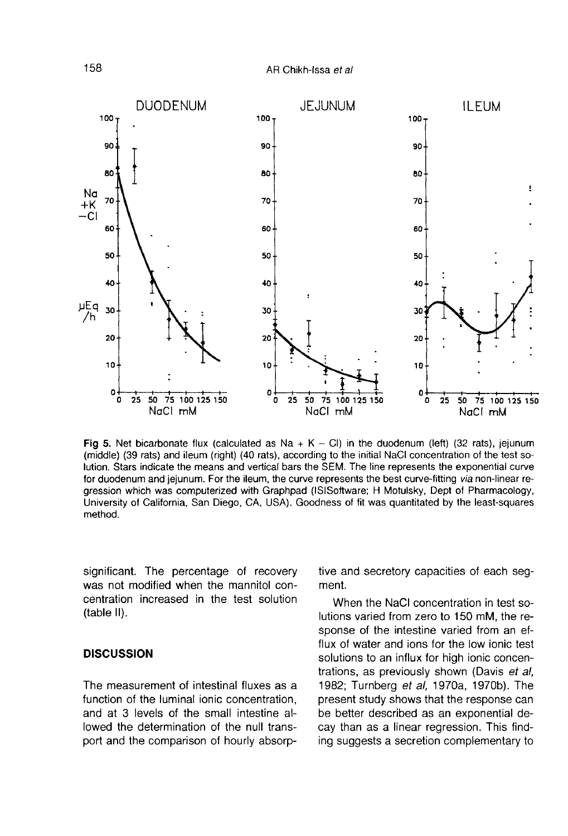

Fig 5. Net bicarbonate flux (calculated as Na +  $K - Cl$ ) in the duodenum (left) (32 rats), jejunum (middle) (39 rats) and ileum (right) (40 rats), according to the initial NaCl concentration of the test solution. Stars indicate the means and vertical bars the SEM. The line represents the exponential curve for duodenum and jejunum. For the ileum, the curve represents the best curve-fitting via non-linear regression which was computerized with Graphpad (ISISoftware; H Motulsky, Dept of Pharmacology, University of California, San Diego, CA, USA). Goodness of fit was quantitated by the least-squares method.

significant. The percentage of recovery was not modified when the mannitol concentration increased in the test solution (table II).

#### **DISCUSSION**

The measurement of intestinal fluxes as a function of the luminal ionic concentration, and at 3 levels of the small intestine allowed the determination of the null transport and the comparison of hourly absorptive and secretory capacities of each segment.

When the NaCl concentration in test solutions varied from zero to 150 mM, the response of the intestine varied from an efflux of water and ions for the low ionic test solutions to an influx for high ionic concentrations, as previously shown (Davis et al, 1982; Turnberg ef al, 1970a, 1970b). The present study shows that the response can be better described as an exponential decay than as a linear regression. This finding suggests a secretion complementary to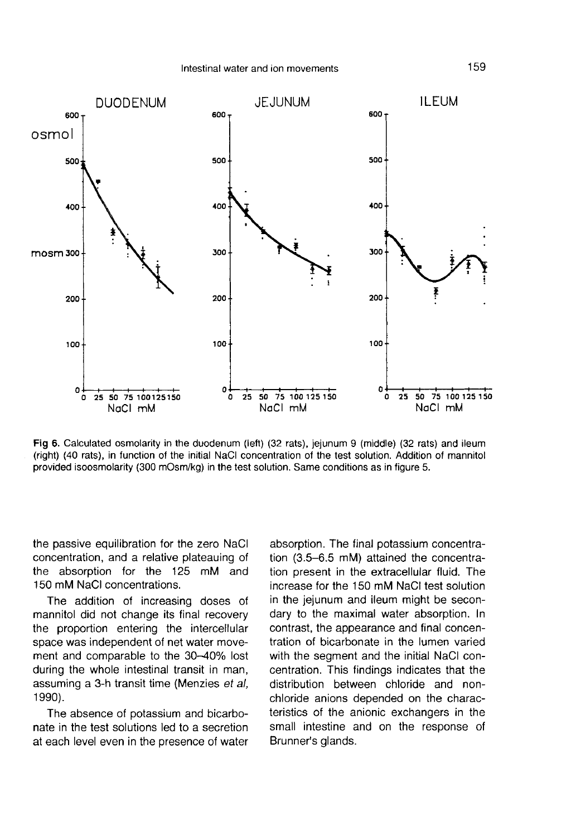

Fig 6. Calculated osmolarity in the duodenum (left) (32 rats), jejunum 9 (middle) (32 rats) and ileum (right) (40 rats), in function of the initial NaCl concentration of the test solution. Addition of mannitol provided isoosmolarity (300 mOsm/kg) in the test solution. Same conditions as in figure 5.

the passive equilibration for the zero NaCl concentration, and a relative plateauing of the absorption for the 125 mM and 150 mM NaCl concentrations.

The addition of increasing doses of mannitol did not change its final recovery the proportion entering the intercellular space was independent of net water movement and comparable to the 30-40% lost during the whole intestinal transit in man, assuming a 3-h transit time (Menzies et al, 1990).

The absence of potassium and bicarbonate in the test solutions led to a secretion at each level even in the presence of water

absorption. The final potassium concentration (3.5-6.5 mM) attained the concentration present in the extracellular fluid. The increase for the 150 mM NaCl test solution in the jejunum and ileum might be secondary to the maximal water absorption. In contrast, the appearance and final concentration of bicarbonate in the lumen varied with the segment and the initial NaCl concentration. This findings indicates that the distribution between chloride and nonchloride anions depended on the characteristics of the anionic exchangers in the small intestine and on the response of Brunner's glands.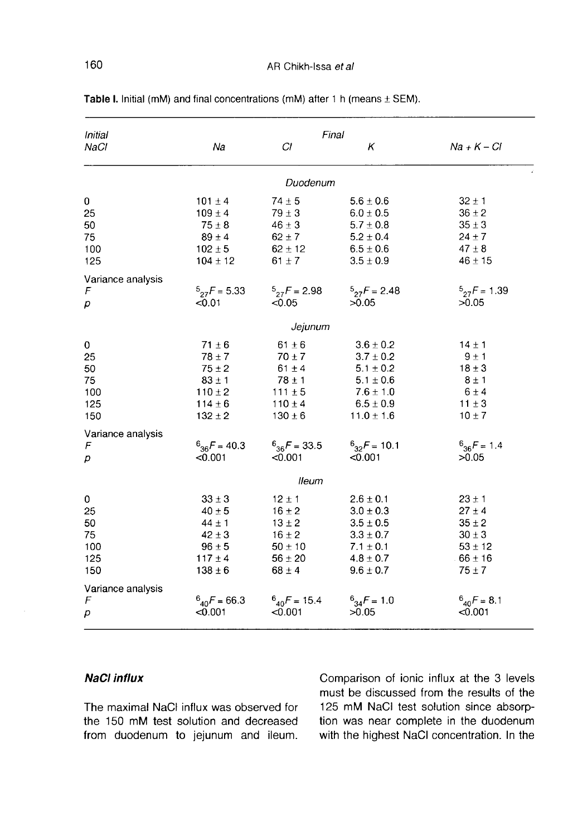| Initial                                  | Final                                                                                             |                                                                                                   |                                                                                                                      |                                                                                                 |  |  |  |
|------------------------------------------|---------------------------------------------------------------------------------------------------|---------------------------------------------------------------------------------------------------|----------------------------------------------------------------------------------------------------------------------|-------------------------------------------------------------------------------------------------|--|--|--|
| NaCl                                     | Na                                                                                                | СI                                                                                                | κ                                                                                                                    | $Na + K - Cl$                                                                                   |  |  |  |
|                                          |                                                                                                   | Duodenum                                                                                          |                                                                                                                      |                                                                                                 |  |  |  |
| 0<br>25<br>50<br>75<br>100<br>125        | $101 \pm 4$<br>$109 \pm 4$<br>$75 \pm 8$<br>$89 \pm 4$<br>$102 \pm 5$<br>$104 \pm 12$             | $74 \pm 5$<br>$79 \pm 3$<br>$46 \pm 3$<br>$62 \pm 7$<br>$62 \pm 12$<br>$61 \pm 7$                 | $5.6 \pm 0.6$<br>$6.0 \pm 0.5$<br>$5.7 \pm 0.8$<br>$5.2 \pm 0.4$<br>$6.5 \pm 0.6$<br>$3.5 \pm 0.9$                   | $32 \pm 1$<br>$36 \pm 2$<br>$35 \pm 3$<br>$24 \pm 7$<br>$47 \pm 8$<br>$46 \pm 15$               |  |  |  |
| Variance analysis<br>F<br>р              | $5_{27}F = 5.33$<br>< 0.01                                                                        | $5_{27}F = 2.98$<br>< 0.05                                                                        | $5_{27}F = 2.48$<br>>0.05                                                                                            | $5_{27}F = 1.39$<br>>0.05                                                                       |  |  |  |
| Jejunum                                  |                                                                                                   |                                                                                                   |                                                                                                                      |                                                                                                 |  |  |  |
| 0<br>25<br>50<br>75<br>100<br>125<br>150 | $71 \pm 6$<br>$78 \pm 7$<br>$75 \pm 2$<br>$83 \pm 1$<br>$110 \pm 2$<br>$114 \pm 6$<br>$132 \pm 2$ | $61 \pm 6$<br>$70 \pm 7$<br>$61 \pm 4$<br>$78 \pm 1$<br>$111 \pm 5$<br>$110 \pm 4$<br>$130 \pm 6$ | $3.6 \pm 0.2$<br>$3.7 \pm 0.2$<br>$5.1 \pm 0.2$<br>$5.1 \pm 0.6$<br>$7.6 \pm 1.0$<br>$6.5 \pm 0.9$<br>$11.0 \pm 1.6$ | $14 \pm 1$<br>$9 \pm 1$<br>$18 \pm 3$<br>$8 \pm 1$<br>$6 \pm 4$<br>$11 \pm 3$<br>$10 \pm 7$     |  |  |  |
| Variance analysis<br>F<br>р              | $6_{36}F = 40.3$<br>< 0.001                                                                       | $^{6}$ <sub>36</sub> $F = 33.5$<br>< 0.001                                                        | $^{6}$ <sub>32</sub> F = 10.1<br><0.001                                                                              | $^{6}$ <sub>36</sub> F = 1.4<br>>0.05                                                           |  |  |  |
| lleum                                    |                                                                                                   |                                                                                                   |                                                                                                                      |                                                                                                 |  |  |  |
| 0<br>25<br>50<br>75<br>100<br>125<br>150 | $33 \pm 3$<br>$40 \pm 5$<br>$44 \pm 1$<br>$42 \pm 3$<br>$96 \pm 5$<br>$117 \pm 4$<br>$138 \pm 6$  | $12 \pm 1$<br>$16 \pm 2$<br>$13 \pm 2$<br>$16 \pm 2$<br>$50 \pm 10$<br>$56 \pm 20$<br>$68 \pm 4$  | $2.6 \pm 0.1$<br>$3.0 \pm 0.3$<br>$3.5 \pm 0.5$<br>$3.3 \pm 0.7$<br>$7.1 \pm 0.1$<br>$4.8 \pm 0.7$<br>$9.6 \pm 0.7$  | $23 \pm 1$<br>$27 \pm 4$<br>$35 \pm 2$<br>$30 \pm 3$<br>$53 \pm 12$<br>$.66 \pm 16$<br>$75 + 7$ |  |  |  |
| Variance analysis<br>F<br>p              | $^{6}$ <sub>40</sub> F = 66.3<br>< 0.001                                                          | $6_{40}F = 15.4$<br>< 0.001                                                                       | $6^{34}F = 1.0$<br>>0.05                                                                                             | $6_{40}F = 8.1$<br>< 0.001                                                                      |  |  |  |

Table I. Initial (mM) and final concentrations (mM) after 1 h (means  $\pm$  SEM).

# NaCl influx

The maximal NaCl influx was observed for the 150 mM test solution and decreased from duodenum to jejunum and ileum.

Comparison of ionic influx at the 3 levels must be discussed from the results of the 125 mM NaCl test solution since absorption was near complete in the duodenum with the highest NaCl concentration. In the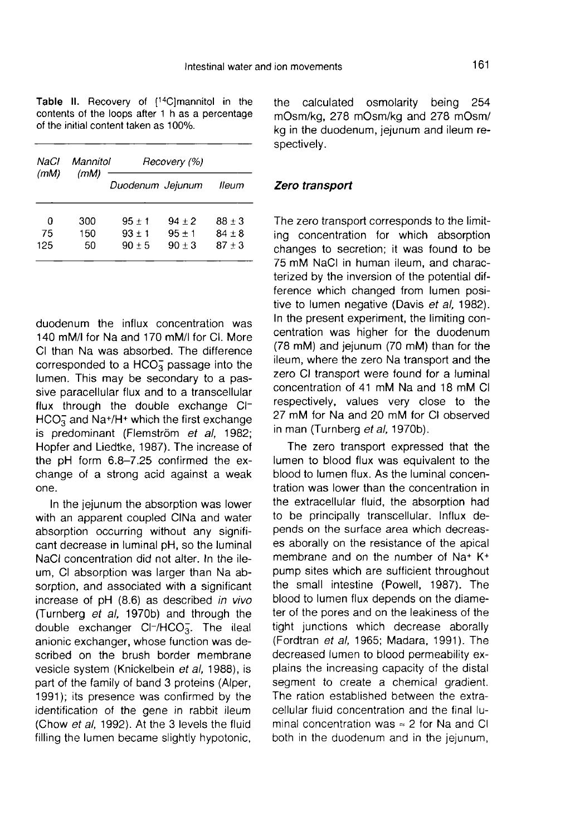Table II. Recovery of [<sup>14</sup>C]mannitol in the contents of the loops after 1 h as a percentage of the initial content taken as 100%.

| NaCl<br>(mM)   | Mannitol<br>(mM) | Recovery (%)                     |                                  |                                    |  |
|----------------|------------------|----------------------------------|----------------------------------|------------------------------------|--|
|                |                  | Duodenum Jeiunum                 |                                  | lleum                              |  |
| 0<br>75<br>125 | 300<br>150<br>50 | $95 + 1$<br>$93 + 1$<br>$90 + 5$ | $94 + 2$<br>$95 + 1$<br>$90 + 3$ | $88 \pm 3$<br>$84 + 8$<br>$87 + 3$ |  |

duodenum the influx concentration was 140 mM/I for Na and 170 mM/I for CI. More CI than Na was absorbed. The difference corresponded to a  $HCO<sub>3</sub><sup>-</sup>$  passage into the lumen. This may be secondary to a passive paracellular flux and to a transcellular flux through the double exchange Cl-<br>HCO<sub>3</sub> and Na+/H+ which the first exchange iumen. This may be secondary to a pas-<br>sive paracellular flux and to a transcellular<br>flux through the double exchange Cl-<br>HCO<sub>3</sub> and Na+/H+ which the first exchange<br>is predominant (Flemström *et al.* 1982is predominant (Flemström et al, 1982; Hopfer and Liedtke, 1987). The increase of the pH form 6.8-7.25 confirmed the exchange of a strong acid against a weak one.

In the jejunum the absorption was lower with an apparent coupled CINa and water absorption occurring without any significant decrease in luminal pH, so the luminal NaCl concentration did not alter. In the ileum, CI absorption was larger than Na absorption, and associated with a significant increase of pH (8.6) as described in vivo (Turnberg et al, 1970b) and through the double exchanger  $Cl^-/HCO_3^-$ . The ileal anionic exchanger, whose function was described on the brush border membrane vesicle system (Knickelbein et al, 1988), is part of the family of band 3 proteins (Alper, 1991); its presence was confirmed by the identification of the gene in rabbit ileum (Chow et al, 1992). At the 3 levels the fluid filling the lumen became slightly hypotonic, the calculated osmolarity being 254 mOsm/kg, 278 mOsm/kg and 278 mOsm/ kg in the duodenum, jejunum and ileum respectively.

# Zero transport

The zero transport corresponds to the limiting concentration for which absorption changes to secretion; it was found to be 75 mM NaCl in human ileum, and characterized by the inversion of the potential difference which changed from lumen positive to lumen negative (Davis et al, 1982). In the present experiment, the limiting concentration was higher for the duodenum (78 mM) and jejunum (70 mM) than for the ileum, where the zero Na transport and the zero CI transport were found for a luminal concentration of 41 mM Na and 18 mM Cl respectively, values very close to the 27 mM for Na and 20 mM for CI observed in man (Turnberg et al, 1970b).

The zero transport expressed that the lumen to blood flux was equivalent to the blood to lumen flux. As the luminal concentration was lower than the concentration in the extracellular fluid, the absorption had to be principally transcellular. Influx depends on the surface area which decreases aborally on the resistance of the apical membrane and on the number of Na+ K+ pump sites which are sufficient throughout the small intestine (Powell, 1987). The blood to lumen flux depends on the diameter of the pores and on the leakiness of the tight junctions which decrease aborally (Fordtran et al, 1965; Madara, 1991). The decreased lumen to blood permeability explains the increasing capacity of the distal segment to create a chemical gradient. The ration established between the extracellular fluid concentration and the final luminal concentration was  $\approx$  2 for Na and Cl both in the duodenum and in the jejunum,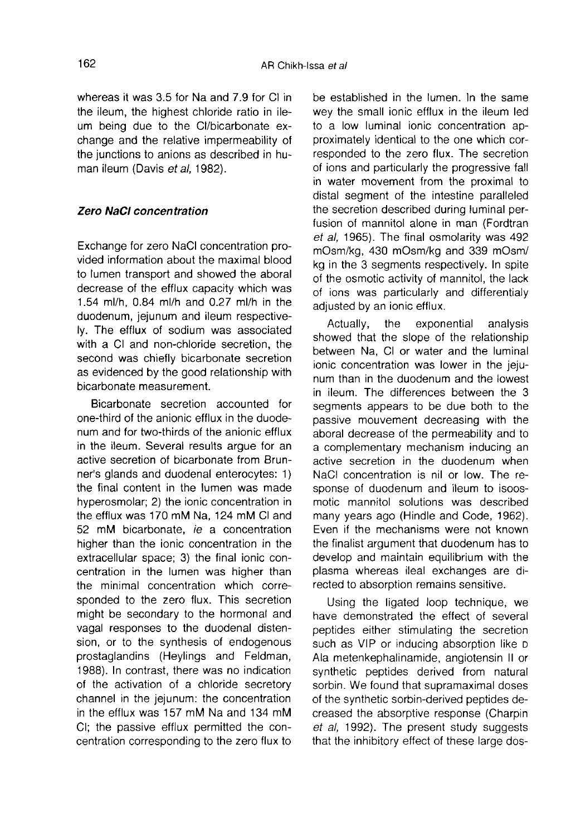whereas it was 3.5 for Na and 7.9 for CI in the ileum, the highest chloride ratio in ileum being due to the Cl/bicarbonate exchange and the relative impermeability of the junctions to anions as described in human ileum (Davis et al. 1982).

### Zero NaCI concentration

Exchange for zero NaCl concentration provided information about the maximal blood to lumen transport and showed the aboral decrease of the efflux capacity which was 1.54 ml/h, 0.84 ml/h and 0.27 ml/h in the duodenum, jejunum and ileum respectively. The efflux of sodium was associated with a CI and non-chloride secretion, the second was chiefly bicarbonate secretion as evidenced by the good relationship with bicarbonate measurement.

Bicarbonate secretion accounted for one-third of the anionic efflux in the duodenum and for two-thirds of the anionic efflux in the ileum. Several results argue for an active secretion of bicarbonate from Brunner's glands and duodenal enterocytes: 1) the final content in the lumen was made hyperosmolar; 2) the ionic concentration in the efflux was 170 mM Na, 124 mM CI and 52 mM bicarbonate, ie a concentration higher than the ionic concentration in the extracellular space; 3) the final ionic concentration in the lumen was higher than the minimal concentration which corresponded to the zero flux. This secretion might be secondary to the hormonal and vagal responses to the duodenal distension, or to the synthesis of endogenous prostaglandins (Heylings and Feldman, 1988). In contrast, there was no indication of the activation of a chloride secretory channel in the jejunum: the concentration in the efflux was 157 mM Na and 134 mM Cl; the passive efflux permitted the concentration corresponding to the zero flux to

be established in the lumen. In the same wey the small ionic efflux in the ileum led to a low luminal ionic concentration approximately identical to the one which corresponded to the zero flux. The secretion of ions and particularly the progressive fall in water movement from the proximal to distal segment of the intestine paralleled the secretion described during luminal perfusion of mannitol alone in man (Fordtran et al, 1965). The final osmolarity was 492 mOsm/kg, 430 mOsm/kg and 339 mOsm/ kg in the 3 segments respectively. In spite of the osmotic activity of mannitol, the lack of ions was particularly and differentialy adjusted by an ionic efflux.

Actually, the exponential analysis showed that the slope of the relationship between Na, CI or water and the luminal ionic concentration was lower in the jeju num than in the duodenum and the lowest in ileum. The differences between the 3 segments appears to be due both to the passive mouvement decreasing with the aboral decrease of the permeability and to a complementary mechanism inducing an active secretion in the duodenum when NaCl concentration is nil or low. The response of duodenum and ileum to isoosmotic mannitol solutions was described many years ago (Hindle and Code, 1962). Even if the mechanisms were not known the finalist argument that duodenum has to develop and maintain equilibrium with the plasma whereas ileal exchanges are directed to absorption remains sensitive.

Using the ligated loop technique, we have demonstrated the effect of several peptides either stimulating the secretion such as VIP or inducing absorption like D Ala metenkephalinamide, angiotensin II or synthetic peptides derived from natural sorbin. We found that supramaximal doses of the synthetic sorbin-derived peptides decreased the absorptive response (Charpin et al, 1992). The present study suggests that the inhibitory effect of these large dos-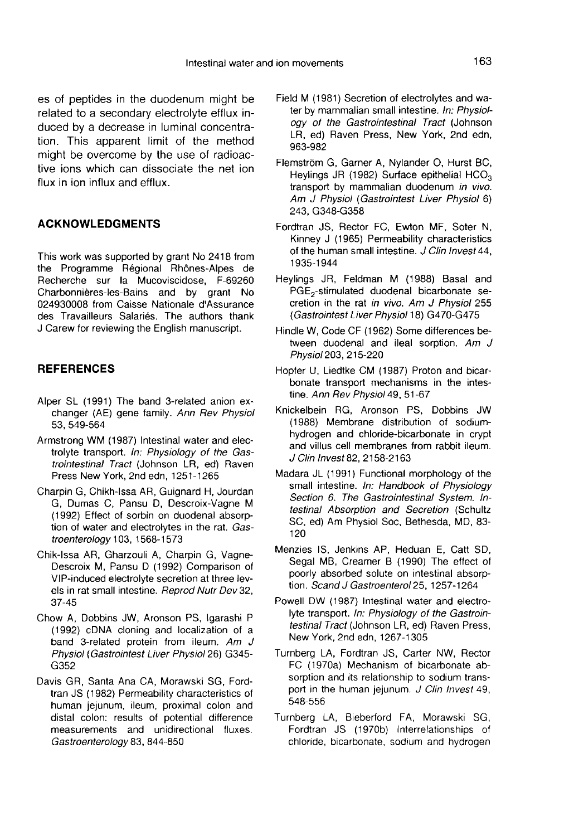es of peptides in the duodenum might be related to a secondary electrolyte efflux induced by a decrease in luminal concentration. This apparent limit of the method might be overcome by the use of radioactive ions which can dissociate the net ion flux in ion influx and efflux.

# ACKNOWLEDGMENTS

This work was supported by grant No 2418 from the Programme Regional Rhônes-Alpes de Recherche sur la Mucoviscidose, F-69260 Charbonnieres-les-Bains and by grant No 024930008 from Caisse Nationale d'Assurance des Travailleurs Salariés. The authors thank J Carew for reviewing the English manuscript.

# **REFERENCES**

- Alper SL (1991) The band 3-related anion exchanger (AE) gene family. Ann Rev Physiol 53, 549-564
- Armstrong WM (1987) Intestinal water and electrolyte transport. In: Physiology of the Gastrointestinal Tract (Johnson LR, ed) Raven Press New York, 2nd edn, 1251-1265
- Charpin G, Chikh-Issa AR, Guignard H, Jourdan G, Dumas C, Pansu D, Descroix-Vagne M (1992) Effect of sorbin on duodenal absorption of water and electrolytes in the rat. Gastroenterology 103, 1568-1573
- Chik-Issa AR, Gharzouli A, Charpin G, Vagne-Descroix M, Pansu D (1992) Comparison of VIP-induced electrolyte secretion at three levels in rat small intestine. Reprod Nutr Dev 32, 37-45
- Chow A, Dobbins JW, Aronson PS, lgarashi P (1992) cDNA cloning and localization of a band 3-related protein from ileum. Am  $J$ Physiol (Gastrointest Liver Physiol26) G345- G352
- Davis GR, Santa Ana CA, Morawski SG, Fordtran JS (1982) Permeability characteristics of human jejunum, ileum, proximal colon and distal colon: results of potential difference measurements and unidirectional fluxes. Gastroenterology 83, 844-850
- Field M (1981) Secretion of electrolytes and water by mammalian small intestine. In: Physiology of the Gastrointestinal Tract (Johnson LR, ed) Raven Press, New York, 2nd edn, 963-982
- Flemström G, Garner A, Nylander O, Hurst BC, Heylings JR (1982) Surface epithelial  $HCO<sub>3</sub>$ transport by mammalian duodenum in vivo. Am J Physiol (Gastrointest Liver Physiol 6) 243, G348-G358
- Fordtran JS, Rector FC, Ewton MF, Soter N, Kinney J (1965) Permeability characteristics of the human small intestine. J Clin Invest 44, 1935-1944
- Heylings JR, Feldman M (1988) Basal and PGE,-stimulated duodenal bicarbonate secretion in the rat in vivo. Am J Physiol 255 (Gastrointest Liver Physiol 18) G470-G475
- Hindle W, Code CF (1962) Some differences between duodenal and ileal sorption. Am J Physiol203, 215-220
- Hopfer U, Liedtke CM (1987) Proton and bicarbonate transport mechanisms in the intestine. Ann Rev Physiol 49, 51-67
- Knickelbein RG, Aronson PS, Dobbins JW (1988) Membrane distribution of sodiumhydrogen and chloride-bicarbonate in crypt and villus cell membranes from rabbit ileum. J Clin Invest 82, 2158-2163
- Madara JL (1991) Functional morphology of the small intestine. In: Handbook of Physiology Section 6. The Gastrointestinal System. Intestinal Absorption and Secretion (Schultz SC, ed) Am Physiol Soc, Bethesda, MD, 83- 120
- Menzies IS, Jenkins AP, Heduan E, Catt SD, Segal MB, Creamer B (1990) The effect of poorly absorbed solute on intestinal absorption. Scand J Gastroenterol 25, 1257-1264
- Powell DW (1987) Intestinal water and electrolyte transport. In: Physiology of the Gastrointestinal Tract (Johnson LR, ed) Raven Press, New York, 2nd edn, 1267-1305
- Turnberg LA, Fordtran JS, Carter NW, Rector FC (1970a) Mechanism of bicarbonate absorption and its relationship to sodium transport in the human jejunum. J Clin Invest 49, 548-556
- Turnberg LA, Bieberford FA, Morawski SG, Fordtran JS (1970b) Interrelationships of chloride, bicarbonate, sodium and hydrogen